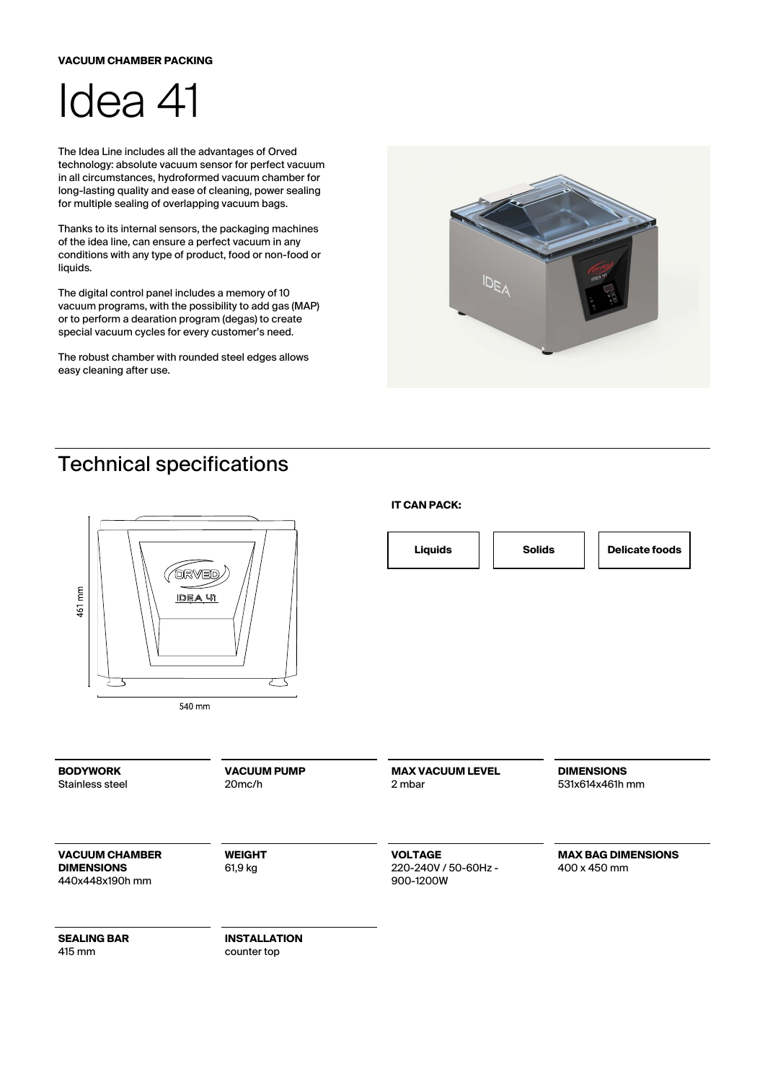## **VACUUM CHAMBER PACKING**



The Idea Line includes all the advantages of Orved technology: absolute vacuum sensor for perfect vacuum in all circumstances, hydroformed vacuum chamber for long-lasting quality and ease of cleaning, power sealing for multiple sealing of overlapping vacuum bags.

Thanks to its internal sensors, the packaging machines of the idea line, can ensure a perfect vacuum in any conditions with any type of product, food or non-food or liquids.

The digital control panel includes a memory of 10 vacuum programs, with the possibility to add gas (MAP) or to perform a dearation program (degas) to create special vacuum cycles for every customer's need.

The robust chamber with rounded steel edges allows easy cleaning after use.



## Technical specifications